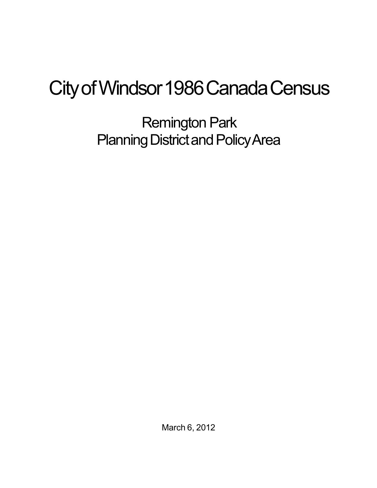## City of Windsor 1986 Canada Census

Remington Park Planning District and Policy Area

March 6, 2012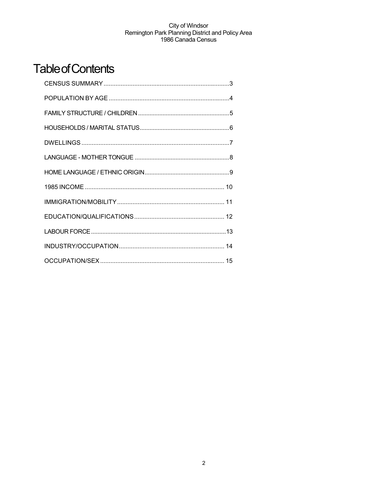## **Table of Contents**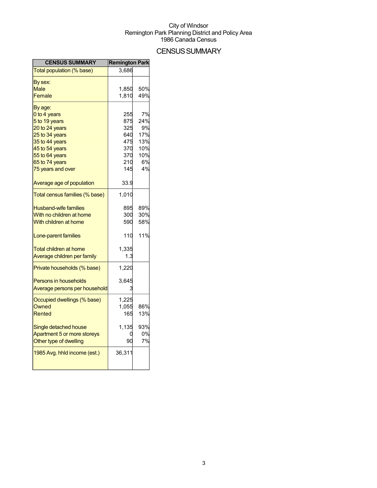## **CENSUS SUMMARY**

| <b>CENSUS SUMMARY</b>                                                                                                                                                                                  | <b>Remington Park</b>                                               |                                                         |
|--------------------------------------------------------------------------------------------------------------------------------------------------------------------------------------------------------|---------------------------------------------------------------------|---------------------------------------------------------|
| Total population (% base)                                                                                                                                                                              | 3,686                                                               |                                                         |
| By sex:<br>Male<br>Female                                                                                                                                                                              | 1,850<br>1,810                                                      | 50%<br>49%                                              |
| By age:<br>0 to 4 years<br>5 to 19 years<br>20 to 24 years<br>25 to 34 years<br>35 to 44 years<br>45 to 54 years<br>55 to 64 years<br>65 to 74 years<br>75 years and over<br>Average age of population | 255<br>875<br>325<br>640<br>475<br>370<br>370<br>210<br>145<br>33.9 | 7%<br>24%<br>9%<br>17%<br>13%<br>10%<br>10%<br>6%<br>4% |
| Total census families (% base)                                                                                                                                                                         | 1,010                                                               |                                                         |
| <b>Husband-wife families</b><br>With no children at home<br>With children at home<br>Lone-parent families<br><b>Total children at home</b>                                                             | 895<br>300<br>590<br>110<br>1,335                                   | 89%<br>30%<br>58%<br>11%                                |
| Average children per family                                                                                                                                                                            | 1.3                                                                 |                                                         |
| Private households (% base)<br><b>Persons in households</b><br>Average persons per household                                                                                                           | 1,220<br>3,645                                                      |                                                         |
| Occupied dwellings (% base)<br><b>Owned</b><br>Rented                                                                                                                                                  | 1,225<br>1,055<br>165                                               | 86%<br>13%                                              |
| Single detached house<br>Apartment 5 or more storeys<br>Other type of dwelling                                                                                                                         | 1,135<br>90                                                         | 93%<br>0%<br>7%                                         |
| 1985 Avg. hhld income (est.)                                                                                                                                                                           | 36,311                                                              |                                                         |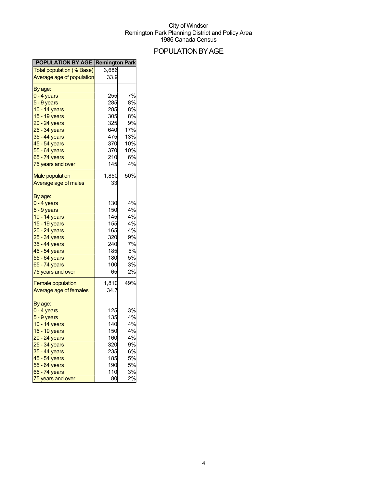## POPULATIONBYAGE

| Total population (% Base)<br>3,686<br>Average age of population<br>33.9<br>By age:<br>7%<br>255<br>$0 - 4$ years<br>285<br>8%<br>5 - 9 years<br>10 - 14 years<br>285<br>8%<br>305<br>8%<br>15 - 19 years<br>325<br>9%<br>20 - 24 years<br>17%<br>25 - 34 years<br>640<br>475<br>13%<br><u>35 - 44 years</u><br>45 - 54 years<br>370<br>10%<br>370<br>10%<br>6%<br>65 - 74 years<br>210<br>4%<br>145<br>1,850<br>50%<br>33<br>By age:<br>4%<br>130<br>0 - 4 years<br>150<br>4%<br>$5 - 9$ years<br>145<br>4%<br>10 - 14 years<br>155<br>4%<br>15 - 19 years<br>165<br>4%<br>20 - 24 years<br>320<br>9%<br>25 - 34 years<br>7%<br>35 - 44 years<br>240<br>45 - 54 years<br>185<br>5%<br>180<br>5%<br>55 - 64 years<br>65 - 74 years<br>3%<br>100<br>2%<br>65<br>49%<br>1,810<br><b>Female population</b><br>34.7 | <b>POPULATION BY AGE Remington Park</b> |
|----------------------------------------------------------------------------------------------------------------------------------------------------------------------------------------------------------------------------------------------------------------------------------------------------------------------------------------------------------------------------------------------------------------------------------------------------------------------------------------------------------------------------------------------------------------------------------------------------------------------------------------------------------------------------------------------------------------------------------------------------------------------------------------------------------------|-----------------------------------------|
|                                                                                                                                                                                                                                                                                                                                                                                                                                                                                                                                                                                                                                                                                                                                                                                                                |                                         |
|                                                                                                                                                                                                                                                                                                                                                                                                                                                                                                                                                                                                                                                                                                                                                                                                                |                                         |
|                                                                                                                                                                                                                                                                                                                                                                                                                                                                                                                                                                                                                                                                                                                                                                                                                |                                         |
|                                                                                                                                                                                                                                                                                                                                                                                                                                                                                                                                                                                                                                                                                                                                                                                                                |                                         |
|                                                                                                                                                                                                                                                                                                                                                                                                                                                                                                                                                                                                                                                                                                                                                                                                                |                                         |
|                                                                                                                                                                                                                                                                                                                                                                                                                                                                                                                                                                                                                                                                                                                                                                                                                |                                         |
|                                                                                                                                                                                                                                                                                                                                                                                                                                                                                                                                                                                                                                                                                                                                                                                                                |                                         |
|                                                                                                                                                                                                                                                                                                                                                                                                                                                                                                                                                                                                                                                                                                                                                                                                                |                                         |
|                                                                                                                                                                                                                                                                                                                                                                                                                                                                                                                                                                                                                                                                                                                                                                                                                |                                         |
|                                                                                                                                                                                                                                                                                                                                                                                                                                                                                                                                                                                                                                                                                                                                                                                                                |                                         |
|                                                                                                                                                                                                                                                                                                                                                                                                                                                                                                                                                                                                                                                                                                                                                                                                                |                                         |
|                                                                                                                                                                                                                                                                                                                                                                                                                                                                                                                                                                                                                                                                                                                                                                                                                | 55 - 64 years                           |
|                                                                                                                                                                                                                                                                                                                                                                                                                                                                                                                                                                                                                                                                                                                                                                                                                |                                         |
|                                                                                                                                                                                                                                                                                                                                                                                                                                                                                                                                                                                                                                                                                                                                                                                                                | 75 years and over                       |
|                                                                                                                                                                                                                                                                                                                                                                                                                                                                                                                                                                                                                                                                                                                                                                                                                | <b>Male population</b>                  |
|                                                                                                                                                                                                                                                                                                                                                                                                                                                                                                                                                                                                                                                                                                                                                                                                                | Average age of males                    |
|                                                                                                                                                                                                                                                                                                                                                                                                                                                                                                                                                                                                                                                                                                                                                                                                                |                                         |
|                                                                                                                                                                                                                                                                                                                                                                                                                                                                                                                                                                                                                                                                                                                                                                                                                |                                         |
|                                                                                                                                                                                                                                                                                                                                                                                                                                                                                                                                                                                                                                                                                                                                                                                                                |                                         |
|                                                                                                                                                                                                                                                                                                                                                                                                                                                                                                                                                                                                                                                                                                                                                                                                                |                                         |
|                                                                                                                                                                                                                                                                                                                                                                                                                                                                                                                                                                                                                                                                                                                                                                                                                |                                         |
|                                                                                                                                                                                                                                                                                                                                                                                                                                                                                                                                                                                                                                                                                                                                                                                                                |                                         |
|                                                                                                                                                                                                                                                                                                                                                                                                                                                                                                                                                                                                                                                                                                                                                                                                                |                                         |
|                                                                                                                                                                                                                                                                                                                                                                                                                                                                                                                                                                                                                                                                                                                                                                                                                |                                         |
|                                                                                                                                                                                                                                                                                                                                                                                                                                                                                                                                                                                                                                                                                                                                                                                                                |                                         |
|                                                                                                                                                                                                                                                                                                                                                                                                                                                                                                                                                                                                                                                                                                                                                                                                                |                                         |
|                                                                                                                                                                                                                                                                                                                                                                                                                                                                                                                                                                                                                                                                                                                                                                                                                |                                         |
|                                                                                                                                                                                                                                                                                                                                                                                                                                                                                                                                                                                                                                                                                                                                                                                                                | 75 years and over                       |
|                                                                                                                                                                                                                                                                                                                                                                                                                                                                                                                                                                                                                                                                                                                                                                                                                |                                         |
|                                                                                                                                                                                                                                                                                                                                                                                                                                                                                                                                                                                                                                                                                                                                                                                                                | Average age of females                  |
|                                                                                                                                                                                                                                                                                                                                                                                                                                                                                                                                                                                                                                                                                                                                                                                                                |                                         |
| 3%<br>125                                                                                                                                                                                                                                                                                                                                                                                                                                                                                                                                                                                                                                                                                                                                                                                                      | By age:                                 |
| 4%<br>135                                                                                                                                                                                                                                                                                                                                                                                                                                                                                                                                                                                                                                                                                                                                                                                                      | 0 - 4 years                             |
| 10 - 14 years<br>140<br>4%                                                                                                                                                                                                                                                                                                                                                                                                                                                                                                                                                                                                                                                                                                                                                                                     | $5 - 9$ years                           |
| 150<br>4%<br>15 - 19 years                                                                                                                                                                                                                                                                                                                                                                                                                                                                                                                                                                                                                                                                                                                                                                                     |                                         |
| 4%<br>160                                                                                                                                                                                                                                                                                                                                                                                                                                                                                                                                                                                                                                                                                                                                                                                                      | 20 - 24 years                           |
| 320<br>9%                                                                                                                                                                                                                                                                                                                                                                                                                                                                                                                                                                                                                                                                                                                                                                                                      | 25 - 34 years                           |
| 6%<br>235                                                                                                                                                                                                                                                                                                                                                                                                                                                                                                                                                                                                                                                                                                                                                                                                      | 35 - 44 years                           |
| 185<br><b>5%</b>                                                                                                                                                                                                                                                                                                                                                                                                                                                                                                                                                                                                                                                                                                                                                                                               | 45 - 54 years                           |
| 5%<br>190                                                                                                                                                                                                                                                                                                                                                                                                                                                                                                                                                                                                                                                                                                                                                                                                      | 55 - 64 years                           |
| 3%<br>110                                                                                                                                                                                                                                                                                                                                                                                                                                                                                                                                                                                                                                                                                                                                                                                                      | 65 - 74 years                           |
| 2%<br>80                                                                                                                                                                                                                                                                                                                                                                                                                                                                                                                                                                                                                                                                                                                                                                                                       | 75 years and over                       |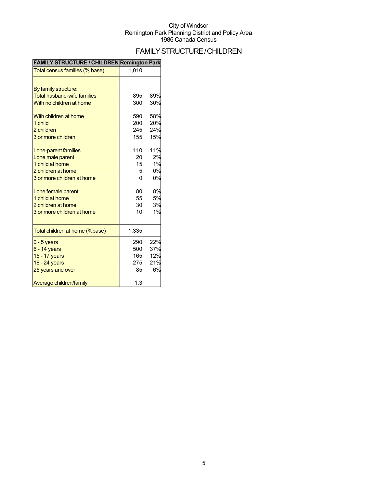## FAMILYSTRUCTURE/CHILDREN

| FAMILT STRUCTURE / CHILDREN ROMINGUM PARK |       |     |
|-------------------------------------------|-------|-----|
| Total census families (% base)            | 1,010 |     |
| By family structure:                      |       |     |
| <b>Total husband-wife families</b>        | 895   | 89% |
| With no children at home                  | 300   | 30% |
| With children at home                     | 590   | 58% |
| 1 child                                   | 200   | 20% |
| 2 children                                | 245   | 24% |
| 3 or more children                        | 155   | 15% |
| Lone-parent families                      | 110   | 11% |
| Lone male parent                          | 20    | 2%  |
| 1 child at home                           | 15    | 1%  |
| 2 children at home                        |       | 0%  |
| 3 or more children at home                |       | 0%  |
| Lone female parent                        | 80    | 8%  |
| 1 child at home                           | 55    | 5%  |
| 2 children at home                        | 30    | 3%  |
| 3 or more children at home                | 10    | 1%  |
| Total children at home (%base)            | 1,335 |     |
| $0 - 5$ years                             | 290   | 22% |
| $6 - 14$ years                            | 500   | 37% |
| 15 - 17 years                             | 165   | 12% |
| 18 - 24 years                             | 275   | 21% |
| 25 years and over                         | 85    | 6%  |
| Average children/family                   | 1.3   |     |

### **FAMILY STRUCTURE / CHILDREN Remington Park**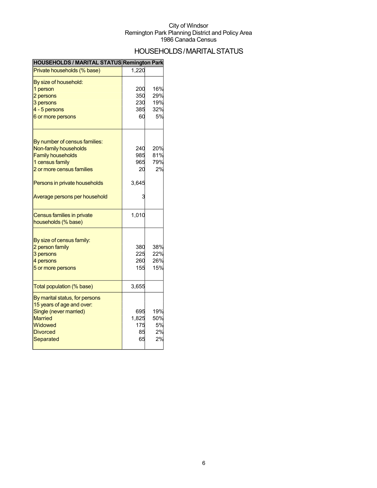## HOUSEHOLDS/MARITALSTATUS

|  | HOUSEHOLDS / MARITAL STATUS Remington Park |  |
|--|--------------------------------------------|--|
|--|--------------------------------------------|--|

| Private households (% base)                                                                                                                                         | 1,220                            |                                |
|---------------------------------------------------------------------------------------------------------------------------------------------------------------------|----------------------------------|--------------------------------|
| By size of household:<br>1 person<br>2 persons<br>3 persons<br>4 - 5 persons<br>6 or more persons                                                                   | 200<br>350<br>230<br>385<br>60   | 16%<br>29%<br>19%<br>32%<br>5% |
| By number of census families:<br>Non-family households<br><b>Family households</b><br>1 census family<br>2 or more census families<br>Persons in private households | 240<br>985<br>965<br>20<br>3,645 | 20%<br>81%<br>79%<br>2%        |
| Average persons per household<br>Census families in private                                                                                                         | 1,010                            |                                |
| households (% base)<br>By size of census family:<br>2 person family<br>3 persons<br>4 persons<br>5 or more persons                                                  | 380<br>225<br>260<br>155         | 38%<br>22%<br>26%<br>15%       |
| Total population (% base)                                                                                                                                           | 3,655                            |                                |
| By marital status, for persons<br>15 years of age and over:<br>Single (never married)<br><b>Married</b><br>Widowed<br><b>Divorced</b><br>Separated                  | 695<br>1,825<br>175<br>85<br>65  | 19%<br>50%<br>5%<br>2%<br>2%   |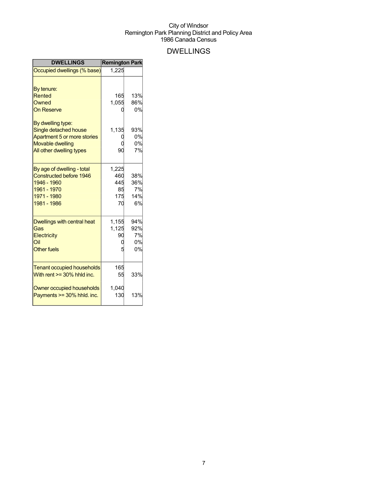## DWELLINGS

| <b>DWELLINGS</b>                                                                                                                                                                       | <b>Remington Park</b>                  |                                           |
|----------------------------------------------------------------------------------------------------------------------------------------------------------------------------------------|----------------------------------------|-------------------------------------------|
| Occupied dwellings (% base)                                                                                                                                                            | 1,225                                  |                                           |
| By tenure:<br>Rented<br>Owned<br><b>On Reserve</b><br>By dwelling type:<br>Single detached house<br>Apartment 5 or more stories<br><b>Movable dwelling</b><br>All other dwelling types | 165<br>1,055<br>1,135<br>90            | 13%<br>86%<br>0%<br>93%<br>0%<br>0%<br>7% |
| By age of dwelling - total<br><b>Constructed before 1946</b><br>1946 - 1960<br>1961 - 1970<br>1971 - 1980<br>1981 - 1986                                                               | 1,225<br>460<br>445<br>85<br>175<br>70 | 38%<br>36%<br>7%<br>14%<br>6%             |
| Dwellings with central heat<br>Gas<br>Electricity<br>Oil<br><b>Other fuels</b>                                                                                                         | 1,155<br>1,125<br>90                   | 94%<br>92%<br>7%<br>0%<br>0%              |
| <b>Tenant occupied households</b><br>With rent $>=$ 30% hhld inc.<br>Owner occupied households                                                                                         | 165<br>55<br>1,040                     | 33%                                       |
| Payments >= 30% hhld. inc.                                                                                                                                                             | 130                                    | 13%                                       |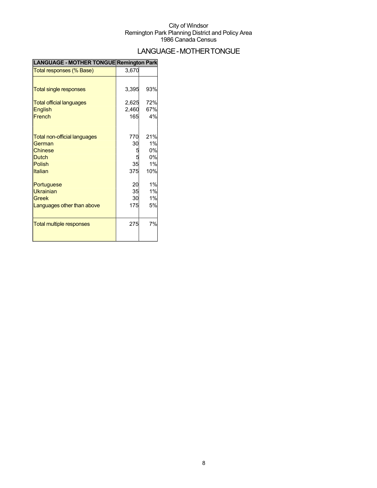## LANGUAGE-MOTHERTONGUE

| <b>LANGUAGE - MOTHER TONGUE Remington Park</b> |       |     |
|------------------------------------------------|-------|-----|
| Total responses (% Base)                       | 3,670 |     |
|                                                |       |     |
| <b>Total single responses</b>                  | 3,395 | 93% |
| <b>Total official languages</b>                | 2,625 | 72% |
| English                                        | 2,460 | 67% |
| French                                         | 165   | 4%  |
|                                                | 770   | 21% |
| <b>Total non-official languages</b><br>German  | 30    | 1%  |
| Chinese                                        |       | 0%  |
| <b>Dutch</b>                                   |       | 0%  |
| <b>Polish</b>                                  | 35    | 1%  |
| <b>Italian</b>                                 | 375   | 10% |
| Portuguese                                     | 20    | 1%  |
| <b>Ukrainian</b>                               | 35    | 1%  |
| Greek                                          | 30    | 1%  |
| Languages other than above                     | 175   | 5%  |
| <b>Total multiple responses</b>                | 275   | 7%  |
|                                                |       |     |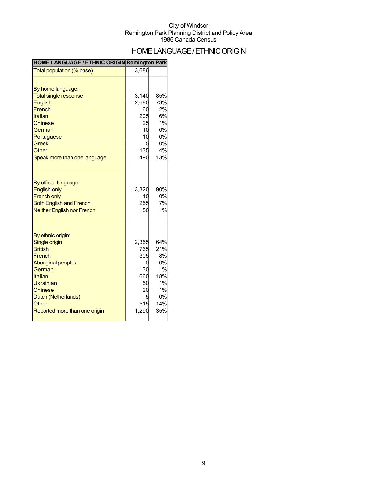## HOME LANGUAGE / ETHNIC ORIGIN

#### **HOME LANGUAGE / ETHNIC ORIGIN Remington Park**

| Total population (% base)                                                                                                                                                                                               | 3,686                                                             |                                                                     |
|-------------------------------------------------------------------------------------------------------------------------------------------------------------------------------------------------------------------------|-------------------------------------------------------------------|---------------------------------------------------------------------|
| By home language:<br><b>Total single response</b><br><b>English</b><br>French<br>Italian<br><b>Chinese</b><br>German<br>Portuguese<br><b>Greek</b><br><b>Other</b><br>Speak more than one language                      | 3,140<br>2,680<br>60<br>205<br>25<br>10<br>10<br>135<br>490       | 85%<br>73%<br>2%<br>6%<br>1%<br>0%<br>0%<br>0%<br>4%<br>13%         |
| By official language:<br><b>English only</b><br><b>French only</b><br><b>Both English and French</b><br><b>Neither English nor French</b>                                                                               | 3,320<br>10<br>255<br>50                                          | 90%<br>0%<br>7%<br>1%                                               |
| By ethnic origin:<br>Single origin<br><b>British</b><br>French<br><b>Aboriginal peoples</b><br>German<br>Italian<br>Ukrainian<br><b>Chinese</b><br>Dutch (Netherlands)<br><b>Other</b><br>Reported more than one origin | 2,355<br>765<br>305<br>C<br>30<br>660<br>50<br>20<br>515<br>1,290 | 64%<br>21%<br>8%<br>0%<br>1%<br>18%<br>1%<br>1%<br>0%<br>14%<br>35% |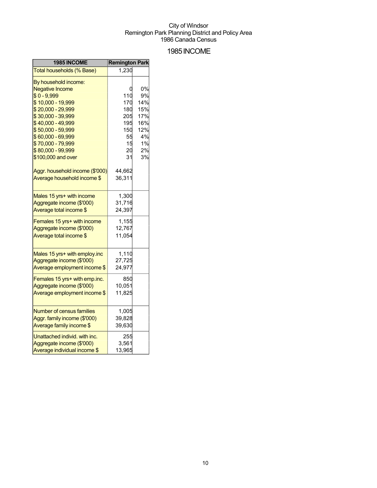### 1985INCOME

| 1985 INCOME                                                | <b>Remington Park</b> |     |
|------------------------------------------------------------|-----------------------|-----|
| Total households (% Base)                                  | 1,230                 |     |
| By household income:                                       |                       |     |
| <b>Negative Income</b>                                     |                       | 0%  |
| $$0 - 9,999$                                               | 110                   | 9%  |
| \$10,000 - 19,999                                          | 170                   | 14% |
| \$20,000 - 29,999                                          | 180                   | 15% |
| \$30,000 - 39,999                                          | 205                   | 17% |
| \$40,000 - 49,999                                          | 195                   | 16% |
| \$50,000 - 59,999                                          | 150                   | 12% |
| \$60,000 - 69,999                                          | 55                    | 4%  |
| \$70,000 - 79,999                                          | 15                    | 1%  |
| \$80,000 - 99,999                                          | 20                    | 2%  |
| \$100,000 and over                                         | 31                    | 3%  |
| Aggr. household income (\$'000)                            | 44,662                |     |
| Average household income \$                                | 36,311                |     |
|                                                            |                       |     |
| Males 15 yrs+ with income                                  | 1,300                 |     |
| Aggregate income (\$'000)                                  | 31,716                |     |
| Average total income \$                                    | 24,397                |     |
| Females 15 yrs+ with income                                | 1,155                 |     |
| Aggregate income (\$'000)                                  | 12,767                |     |
| Average total income \$                                    | 11,054                |     |
|                                                            |                       |     |
| Males 15 yrs+ with employ.inc<br>Aggregate income (\$'000) | 1,110                 |     |
|                                                            | 27,725<br>24,977      |     |
| Average employment income \$                               |                       |     |
| Females 15 yrs+ with emp.inc.                              | 850                   |     |
| Aggregate income (\$'000)                                  | 10,051                |     |
| Average employment income \$                               | 11,825                |     |
| <b>Number of census families</b>                           | 1,005                 |     |
| Aggr. family income (\$'000)                               | 39,828                |     |
|                                                            |                       |     |
| Average family income \$                                   | 39,630                |     |
| Unattached individ. with inc.                              | 255                   |     |
| Aggregate income (\$'000)                                  | 3,561                 |     |
| Average individual income \$                               | 13,965                |     |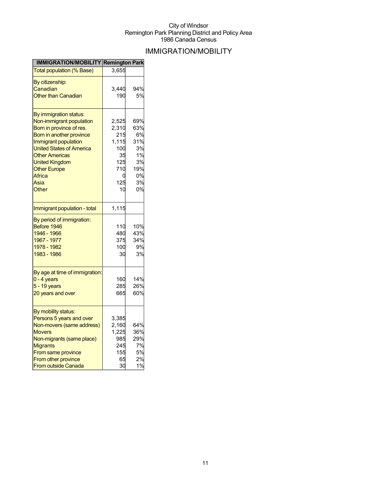## IMMIGRATION/MOBILITY

| <b>IMMIGRATION/MOBILITY Remington Park</b>                                                                                                                                                                                                                                |                                                                             |                                                                    |
|---------------------------------------------------------------------------------------------------------------------------------------------------------------------------------------------------------------------------------------------------------------------------|-----------------------------------------------------------------------------|--------------------------------------------------------------------|
| <b>Total population (% Base)</b>                                                                                                                                                                                                                                          | 3,655                                                                       |                                                                    |
| <u>By citizenship:</u><br>Canadian<br>Other than Canadian                                                                                                                                                                                                                 | 3.440<br>190                                                                | 94%<br>5%                                                          |
| By immigration status:<br>Non-immigrant population<br>Born in province of res.<br>Born in another province<br>Immigrant population<br><b>United States of America</b><br><b>Other Americas</b><br><b>United Kingdom</b><br><b>Other Europe</b><br>Africa<br>Asia<br>Other | 2,525<br>2,310<br>215<br>1,115<br>100<br>35<br>125<br>710<br>0<br>125<br>10 | 69%<br>63%<br>6%<br>31%<br>3%<br>1%<br>3%<br>19%<br>0%<br>3%<br>0% |
| Immigrant population - total                                                                                                                                                                                                                                              | 1,115                                                                       |                                                                    |
| By period of immigration:<br>Before 1946<br>1946 - 1966<br>1967 - 1977<br>1978 - 1982<br>1983 - 1986                                                                                                                                                                      | 110<br>480<br>375<br>100<br>30                                              | 10%<br>43%<br>34%<br>9%<br>3%                                      |
| By age at time of immigration:<br>$0 - 4$ years<br>$5 - 19$ years<br>20 years and over                                                                                                                                                                                    | 160<br>285<br>665                                                           | 14%<br>26%<br>60%                                                  |
| By mobility status:<br>Persons 5 years and over<br>Non-movers (same address)<br><b>Movers</b><br>Non-migrants (same place)<br><b>Migrants</b><br>From same province<br>From other province<br><b>From outside Canada</b>                                                  | 3,385<br>2,160<br>1,225<br>985<br>245<br>155<br>65<br>30                    | 64%<br>36%<br>29%<br>7%<br>5%<br>2%<br>1%                          |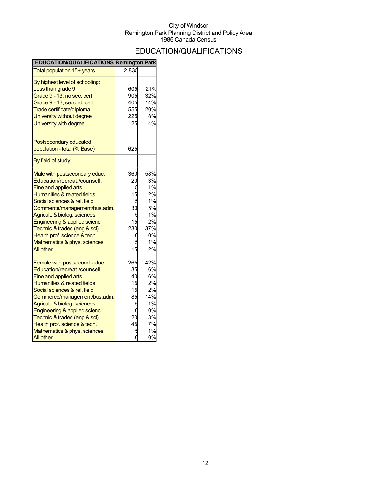## EDUCATION/QUALIFICATIONS

| EDUCATION/QUALIFICATIONS Remington Park               |       |     |
|-------------------------------------------------------|-------|-----|
| Total population 15+ years                            | 2,835 |     |
| By highest level of schooling:<br>Less than grade 9   | 605   | 21% |
| Grade 9 - 13, no sec. cert.                           | 905   | 32% |
| Grade 9 - 13, second. cert.                           | 405   | 14% |
| Trade certificate/diploma                             | 555   | 20% |
| University without degree                             | 225   | 8%  |
| University with degree                                | 125   | 4%  |
| Postsecondary educated<br>population - total (% Base) | 625   |     |
| By field of study:                                    |       |     |
| Male with postsecondary educ.                         | 360   | 58% |
| Education/recreat./counsell.                          | 20    | 3%  |
| Fine and applied arts                                 | 5     | 1%  |
| Humanities & related fields                           | 15    | 2%  |
| Social sciences & rel. field                          |       | 1%  |
| Commerce/management/bus.adm.                          | 30    | 5%  |
| Agricult. & biolog. sciences                          |       | 1%  |
| Engineering & applied scienc                          | 15    | 2%  |
| Technic.& trades (eng & sci)                          | 230   | 37% |
| Health prof. science & tech.                          | C     | 0%  |
| Mathematics & phys. sciences                          |       | 1%  |
| All other                                             | 15    | 2%  |
| Female with postsecond. educ.                         | 265   | 42% |
| Education/recreat./counsell.                          | 35    | 6%  |
| Fine and applied arts                                 | 40    | 6%  |
| Humanities & related fields                           | 15    | 2%  |
| Social sciences & rel. field                          | 15    | 2%  |
| Commerce/management/bus.adm.                          | 85    | 14% |
| Agricult. & biolog. sciences                          | 5     | 1%  |
| Engineering & applied scienc                          | C     | 0%  |
| Technic.& trades (eng & sci)                          | 20    | 3%  |
| Health prof. science & tech.                          | 45    | 7%  |
| Mathematics & phys. sciences                          |       | 1%  |
| All other                                             |       | 0%  |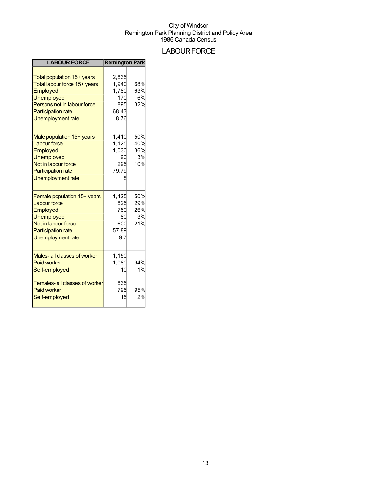## **LABOUR FORCE**

| <b>LABOUR FORCE</b>                                                                                                                                                                 | <b>Remington Park</b>                                  |                                |
|-------------------------------------------------------------------------------------------------------------------------------------------------------------------------------------|--------------------------------------------------------|--------------------------------|
| Total population 15+ years<br>Total labour force 15+ years<br>Employed<br><b>Unemployed</b><br>Persons not in labour force<br><b>Participation rate</b><br><b>Unemployment rate</b> | 2,835<br>1,940<br>1,780<br>170<br>895<br>68.43<br>8.76 | 68%<br>63%<br>6%<br>32%        |
| Male population 15+ years<br><b>Labour force</b><br>Employed<br><b>Unemployed</b><br>Not in labour force<br><b>Participation rate</b><br>Unemployment rate                          | 1,410<br>1,125<br>1,030<br>90<br>295<br>79.79          | 50%<br>40%<br>36%<br>3%<br>10% |
| Female population 15+ years<br><b>Labour force</b><br>Employed<br><b>Unemployed</b><br>Not in labour force<br><b>Participation rate</b><br><b>Unemployment rate</b>                 | 1,425<br>825<br>750<br>80<br>600<br>57.89<br>9.7       | 50%<br>29%<br>26%<br>3%<br>21% |
| Males- all classes of worker<br><b>Paid worker</b><br>Self-employed<br>Females- all classes of worker<br><b>Paid worker</b>                                                         | 1,150<br>1,080<br>10<br>835<br>795<br>15               | 94%<br>1%<br>95%<br>2%         |
| Self-employed                                                                                                                                                                       |                                                        |                                |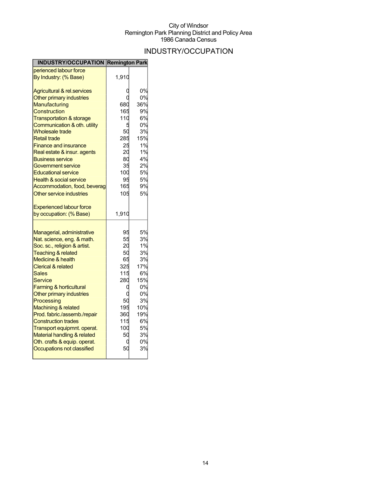## INDUSTRY/OCCUPATION

| <b>INDUSTRY/OCCUPATION Remington Park</b> |       |     |
|-------------------------------------------|-------|-----|
| perienced labour force                    |       |     |
| By Industry: (% Base)                     | 1,910 |     |
| Agricultural & rel.services               |       | 0%  |
| Other primary industries                  |       | 0%  |
| Manufacturing                             | 680   | 36% |
| Construction                              | 165   | 9%  |
| <b>Transportation &amp; storage</b>       | 110   | 6%  |
| Communication & oth. utility              | 5     | 0%  |
| <b>Wholesale trade</b>                    | 50    | 3%  |
| <b>Retail trade</b>                       | 285   | 15% |
| <b>Finance and insurance</b>              | 25    | 1%  |
| Real estate & insur. agents               | 20    | 1%  |
| <b>Business service</b>                   | 80    | 4%  |
| Government service                        | 35    | 2%  |
| <b>Educational service</b>                | 100   | 5%  |
| <b>Health &amp; social service</b>        | 95    | 5%  |
| Accommodation, food, beverag              | 165   | 9%  |
| Other service industries                  | 105   | 5%  |
| <b>Experienced labour force</b>           |       |     |
| by occupation: (% Base)                   | 1,910 |     |
| Managerial, administrative                | 95    | 5%  |
| Nat. science, eng. & math.                | 55    | 3%  |
| Soc. sc., religion & artist.              | 20    | 1%  |
| <b>Teaching &amp; related</b>             | 50    | 3%  |
| <b>Medicine &amp; health</b>              | 65    | 3%  |
| <b>Clerical &amp; related</b>             | 325   | 17% |
| <b>Sales</b>                              | 115   | 6%  |
| Service                                   | 280   | 15% |
| <b>Farming &amp; horticultural</b>        | Ü     | 0%  |
| Other primary industries                  |       | 0%  |
| Processing                                | 50    | 3%  |
| Machining & related                       | 195   | 10% |
| Prod. fabric./assemb./repair              | 360   | 19% |
| <b>Construction trades</b>                | 115   | 6%  |
| Transport equipmnt. operat.               | 100   | 5%  |
| Material handling & related               | 50    | 3%  |
| Oth. crafts & equip. operat.              | 0     | 0%  |
| Occupations not classified                | 50    | 3%  |
|                                           |       |     |